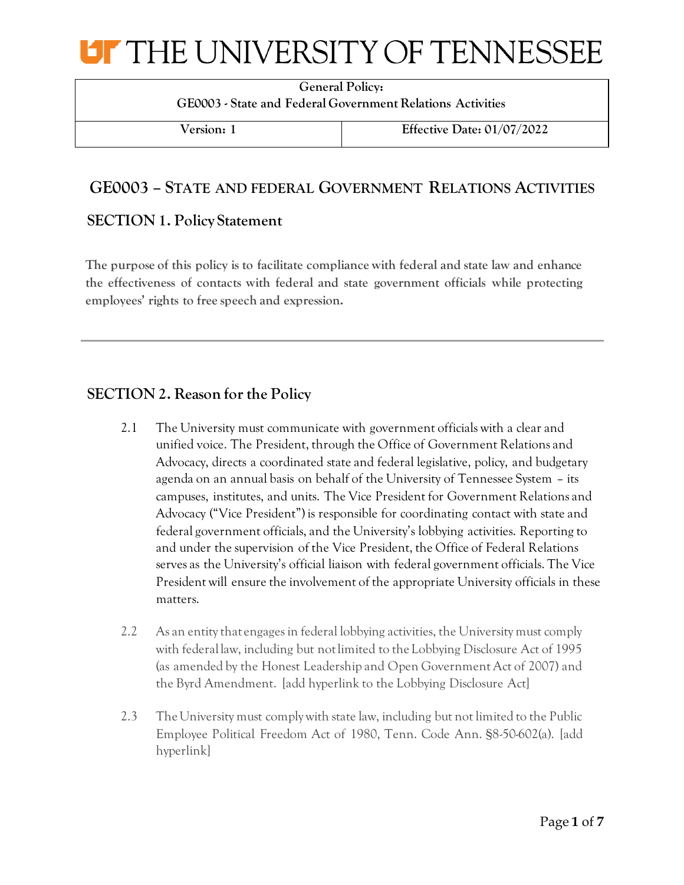## UT THE UNIVERSITY OF TENNESSEE

**General Policy: GE0003 - State and Federal Government Relations Activities**

**Version: 1 Effective Date: 01/07/2022**

## **GE0003 – STATE AND FEDERAL GOVERNMENT RELATIONS ACTIVITIES**

### **SECTION 1. Policy Statement**

**The purpose of this policy is to facilitate compliance with federal and state law and enhance the effectiveness of contacts with federal and state government officials while protecting employees' rights to free speech and expression.** 

### **SECTION 2. Reason for the Policy**

- 2.1 The University must communicate with government officials with a clear and unified voice. The President, through the Office of Government Relations and Advocacy, directs a coordinated state and federal legislative, policy, and budgetary agenda on an annual basis on behalf of the University of Tennessee System – its campuses, institutes, and units. The Vice President for Government Relations and Advocacy ("Vice President") is responsible for coordinating contact with state and federal government officials, and the University's lobbying activities. Reporting to and under the supervision of the Vice President, the Office of Federal Relations serves as the University's official liaison with federal government officials. The Vice President will ensure the involvement of the appropriate University officials in these matters.
- 2.2 As an entity that engages in federal lobbying activities, the University must comply with federal law, including but not limited to the Lobbying Disclosure Act of 1995 (as amended by the Honest Leadership and Open Government Act of 2007) and the Byrd Amendment. [add hyperlink to the Lobbying Disclosure Act]
- 2.3 The University must comply with state law, including but not limited to the Public Employee Political Freedom Act of 1980, Tenn. Code Ann. §8-50-602(a). [add hyperlink]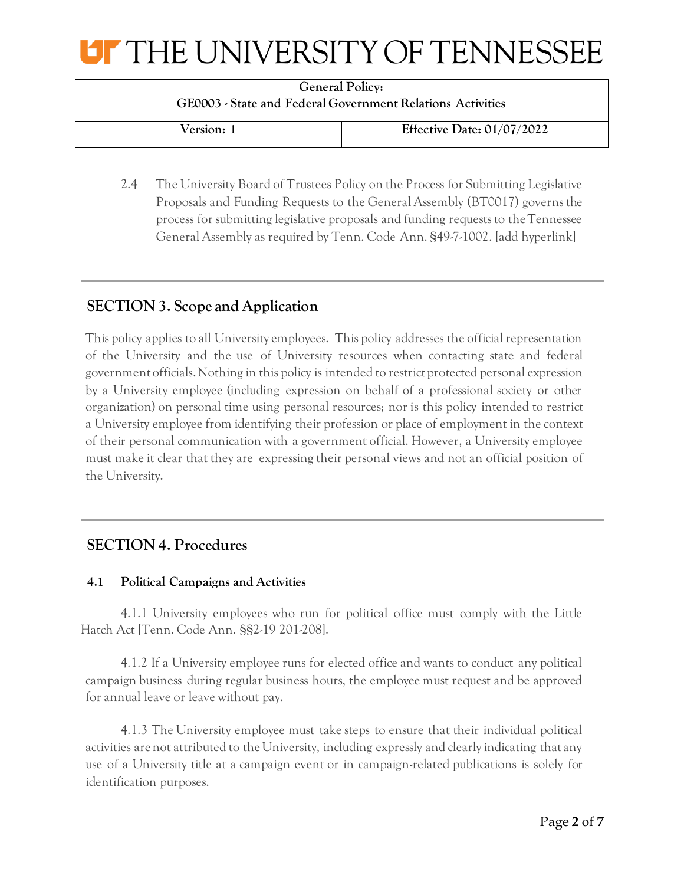# UT THE UNIVERSITY OF TENNESSEE

**General Policy: GE0003 - State and Federal Government Relations Activities**

**Version: 1 Effective Date: 01/07/2022**

2.4 The University Board of Trustees Policy on the Process for Submitting Legislative Proposals and Funding Requests to the General Assembly (BT0017) governs the process for submitting legislative proposals and funding requests to the Tennessee General Assembly as required by Tenn. Code Ann. §49-7-1002. [add hyperlink]

## **SECTION 3. Scope and Application**

This policy applies to all University employees. This policy addresses the official representation of the University and the use of University resources when contacting state and federal government officials. Nothing in this policy is intended to restrict protected personal expression by a University employee (including expression on behalf of a professional society or other organization) on personal time using personal resources; nor is this policy intended to restrict a University employee from identifying their profession or place of employment in the context of their personal communication with a government official. However, a University employee must make it clear that they are expressing their personal views and not an official position of the University.

## **SECTION 4. Procedures**

### **4.1 Political Campaigns and Activities**

4.1.1 University employees who run for political office must comply with the Little Hatch Act [Tenn. Code Ann. §§2-19 201-208].

4.1.2 If a University employee runs for elected office and wants to conduct any political campaign business during regular business hours, the employee must request and be approved for annual leave or leave without pay.

4.1.3 The University employee must take steps to ensure that their individual political activities are not attributed to the University, including expressly and clearly indicating that any use of a University title at a campaign event or in campaign-related publications is solely for identification purposes.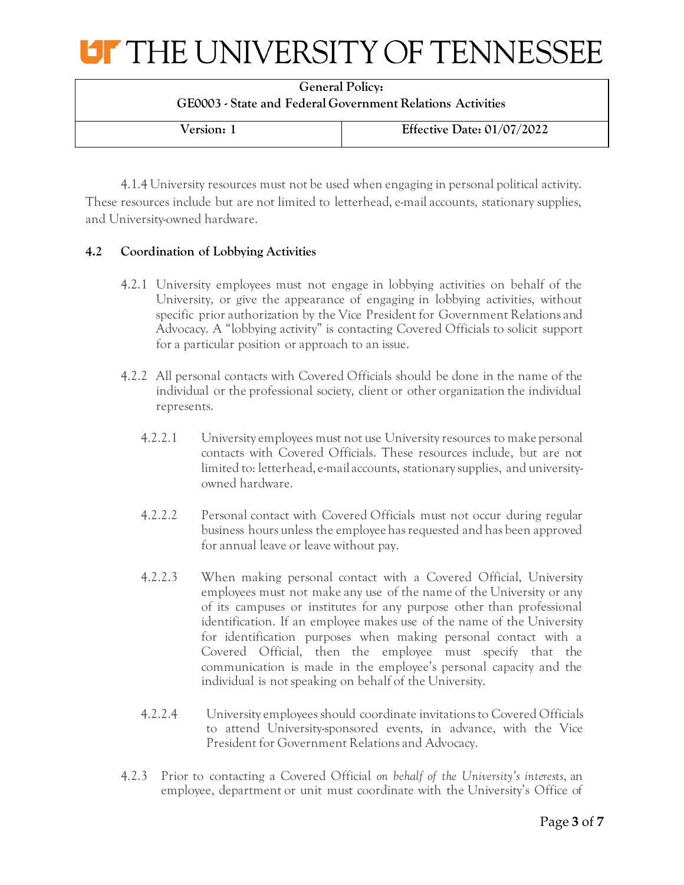

| <b>General Policy:</b><br>GE0003 - State and Federal Government Relations Activities |                              |  |
|--------------------------------------------------------------------------------------|------------------------------|--|
| Version: 1                                                                           | Effective Date: $01/07/2022$ |  |

4.1.4 University resources must not be used when engaging in personal political activity. These resources include but are not limited to letterhead, e-mail accounts, stationary supplies, and University-owned hardware.

#### **4.2 Coordination of Lobbying Activities**

- 4.2.1 University employees must not engage in lobbying activities on behalf of the University, or give the appearance of engaging in lobbying activities, without specific prior authorization by the Vice President for Government Relations and Advocacy. A "lobbying activity" is contacting Covered Officials to solicit support for a particular position or approach to an issue.
- 4.2.2 All personal contacts with Covered Officials should be done in the name of the individual or the professional society, client or other organization the individual represents.
	- 4.2.2.1 University employees must not use University resources to make personal contacts with Covered Officials. These resources include, but are not limited to: letterhead, e-mail accounts, stationary supplies, and universityowned hardware.
	- 4.2.2.2 Personal contact with Covered Officials must not occur during regular business hours unless the employee has requested and has been approved for annual leave or leave without pay.
	- 4.2.2.3 When making personal contact with a Covered Official, University employees must not make any use of the name of the University or any of its campuses or institutes for any purpose other than professional identification. If an employee makes use of the name of the University for identification purposes when making personal contact with a Covered Official, then the employee must specify that the communication is made in the employee's personal capacity and the individual is not speaking on behalf of the University.
	- 4.2.2.4 University employees should coordinate invitations to Covered Officials to attend University-sponsored events, in advance, with the Vice President for Government Relations and Advocacy.
- 4.2.3 Prior to contacting a Covered Official *on behalf of the University's interests*, an employee, department or unit must coordinate with the University's Office of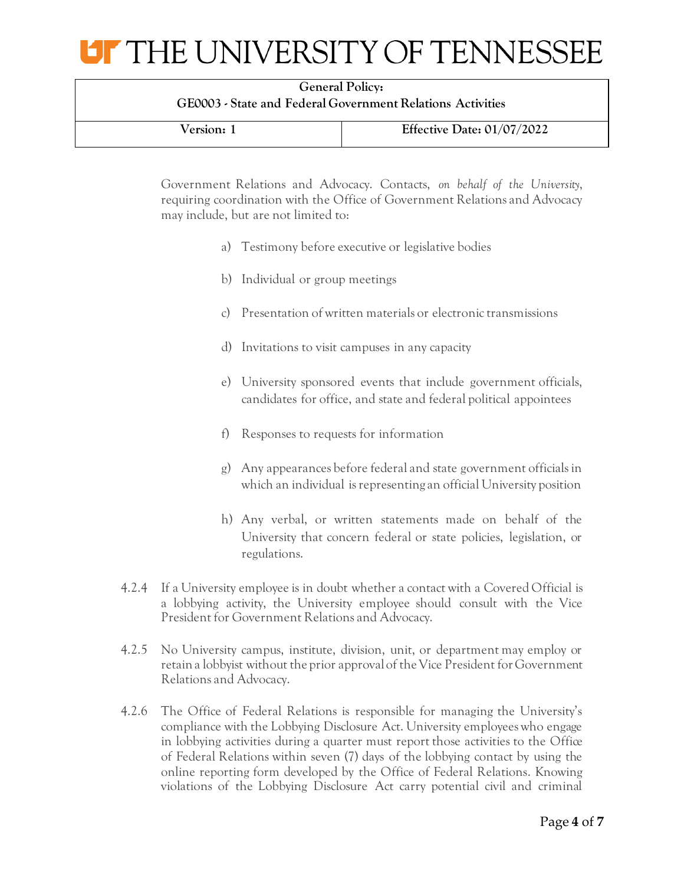# **UF THE UNIVERSITY OF TENNESSEE**

| <b>General Policy:</b>                                     |  |  |
|------------------------------------------------------------|--|--|
| GE0003 - State and Federal Government Relations Activities |  |  |

| Version: 1 | Effective Date: $01/07/2022$ |
|------------|------------------------------|

Government Relations and Advocacy. Contacts, *on behalf of the University*, requiring coordination with the Office of Government Relations and Advocacy may include, but are not limited to:

- a) Testimony before executive or legislative bodies
- b) Individual or group meetings
- c) Presentation of written materials or electronic transmissions
- d) Invitations to visit campuses in any capacity
- e) University sponsored events that include government officials, candidates for office, and state and federal political appointees
- f) Responses to requests for information
- g) Any appearances before federal and state government officials in which an individual is representing an official University position
- h) Any verbal, or written statements made on behalf of the University that concern federal or state policies, legislation, or regulations.
- 4.2.4 If a University employee is in doubt whether a contact with a Covered Official is a lobbying activity, the University employee should consult with the Vice President for Government Relations and Advocacy.
- 4.2.5 No University campus, institute, division, unit, or department may employ or retain a lobbyist without the prior approval of the Vice President for Government Relations and Advocacy.
- 4.2.6 The Office of Federal Relations is responsible for managing the University's compliance with the Lobbying Disclosure Act. University employees who engage in lobbying activities during a quarter must report those activities to the Office of Federal Relations within seven (7) days of the lobbying contact by using the online reporting form developed by the Office of Federal Relations. Knowing violations of the Lobbying Disclosure Act carry potential civil and criminal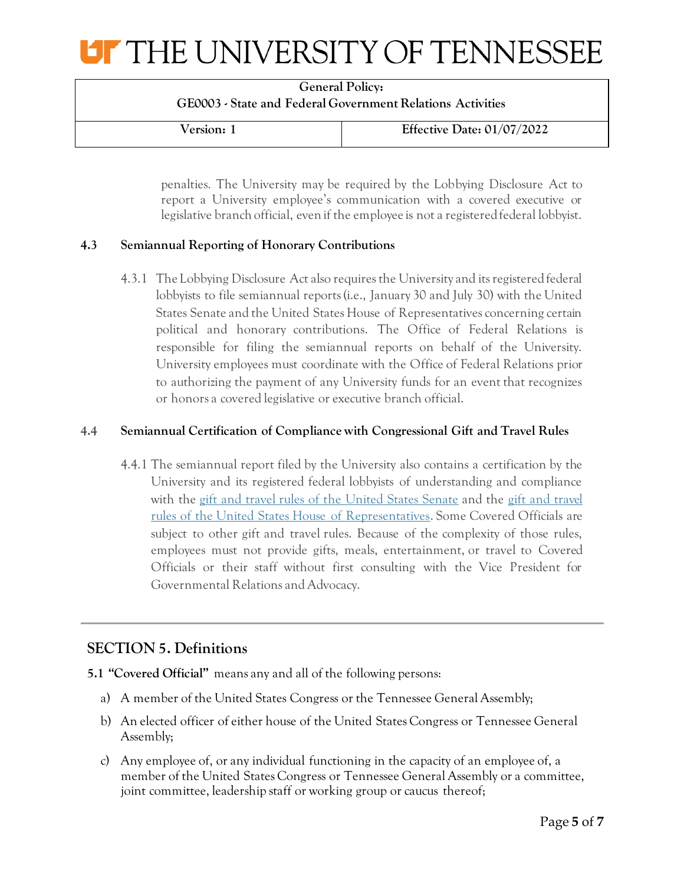# **UF THE UNIVERSITY OF TENNESSEE**

**General Policy: GE0003 - State and Federal Government Relations Activities**

**Version: 1 Effective Date: 01/07/2022**

penalties. The University may be required by the Lobbying Disclosure Act to report a University employee's communication with a covered executive or legislative branch official, even if the employee is not a registered federal lobbyist.

### **4.3 Semiannual Reporting of Honorary Contributions**

4.3.1 The Lobbying Disclosure Act also requires the University and its registered federal lobbyists to file semiannual reports (i.e., January 30 and July 30) with the United States Senate and the United States House of Representatives concerning certain political and honorary contributions. The Office of Federal Relations is responsible for filing the semiannual reports on behalf of the University. University employees must coordinate with the Office of Federal Relations prior to authorizing the payment of any University funds for an event that recognizes or honors a covered legislative or executive branch official.

#### **4.4 Semiannual Certification of Compliance with Congressional Gift and Travel Rules**

4.4.1 The semiannual report filed by the University also contains a certification by the University and its registered federal lobbyists of understanding and compliance with the [gift and travel rules of the United States Senate](http://www.rules.senate.gov/public/index.cfm?p=RuleXXXV) and the [gift and travel](http://ethics.house.gov/sites/ethics.house.gov/files/documents/2008_House_Ethics_Manual.pdf)  [rules of the United States House of Representatives](http://ethics.house.gov/sites/ethics.house.gov/files/documents/2008_House_Ethics_Manual.pdf). Some Covered Officials are subject to other gift and travel rules. Because of the complexity of those rules, employees must not provide gifts, meals, entertainment, or travel to Covered Officials or their staff without first consulting with the Vice President for Governmental Relations and Advocacy.

## **SECTION 5. Definitions**

- **5.1 "Covered Official"** means any and all of the following persons:
	- a) A member of the United States Congress or the Tennessee General Assembly;
	- b) An elected officer of either house of the United States Congress or Tennessee General Assembly;
	- c) Any employee of, or any individual functioning in the capacity of an employee of, a member of the United States Congress or Tennessee General Assembly or a committee, joint committee, leadership staff or working group or caucus thereof;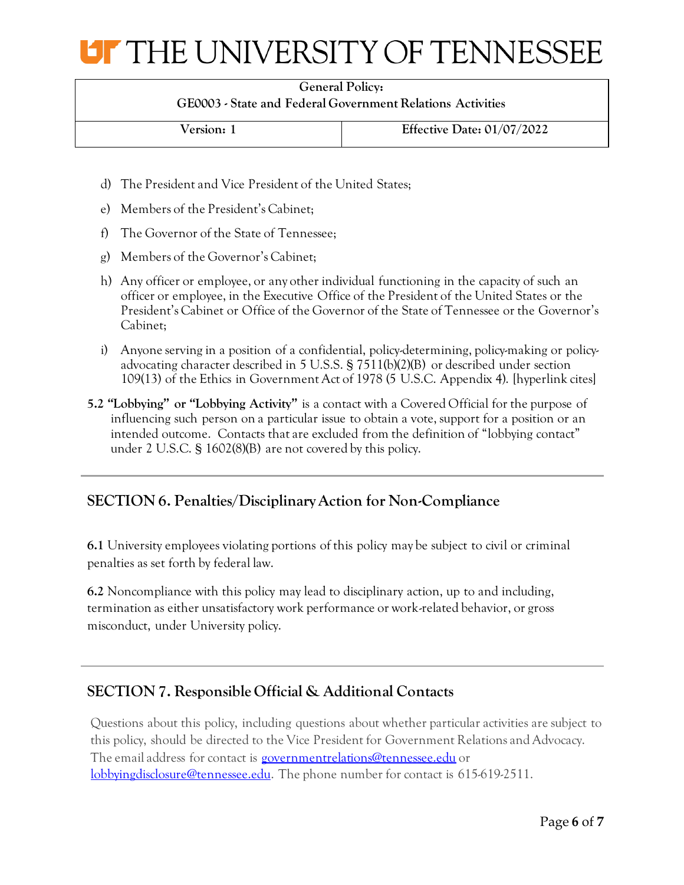

| <b>General Policy:</b>                                     |  |
|------------------------------------------------------------|--|
| GE0003 - State and Federal Government Relations Activities |  |

**Version: 1 Effective Date: 01/07/2022**

- d) The President and Vice President of the United States;
- e) Members of the President's Cabinet;
- f) The Governor of the State of Tennessee;
- g) Members of the Governor's Cabinet;
- h) Any officer or employee, or any other individual functioning in the capacity of such an officer or employee, in the Executive Office of the President of the United States or the President's Cabinet or Office of the Governor of the State of Tennessee or the Governor's Cabinet;
- i) Anyone serving in a position of a confidential, policy-determining, policy-making or policyadvocating character described in 5 U.S.S. § 7511(b)(2)(B) or described under section 109(13) of the Ethics in Government Act of 1978 (5 U.S.C. Appendix 4). [hyperlink cites]
- **5.2 "Lobbying" or "Lobbying Activity"** is a contact with a Covered Official for the purpose of influencing such person on a particular issue to obtain a vote, support for a position or an intended outcome. Contacts that are excluded from the definition of "lobbying contact" under 2 U.S.C. § 1602(8)(B) are not covered by this policy.

## **SECTION 6. Penalties/Disciplinary Action for Non-Compliance**

**6.1** University employees violating portions of this policy may be subject to civil or criminal penalties as set forth by federal law.

**6.2** Noncompliance with this policy may lead to disciplinary action, up to and including, termination as either unsatisfactory work performance or work-related behavior, or gross misconduct, under University policy.

## **SECTION 7. Responsible Official & Additional Contacts**

Questions about this policy, including questions about whether particular activities are subject to this policy, should be directed to the Vice President for Government Relations and Advocacy. The email address for contact is [governmentrelations@tennessee.edu](mailto:governmentrelations@tennessee.edu) or [lobbyingdisclosure@tennessee.edu.](mailto:lobbyingdisclosure@tennessee.edu) The phone number for contact is 615-619-2511.